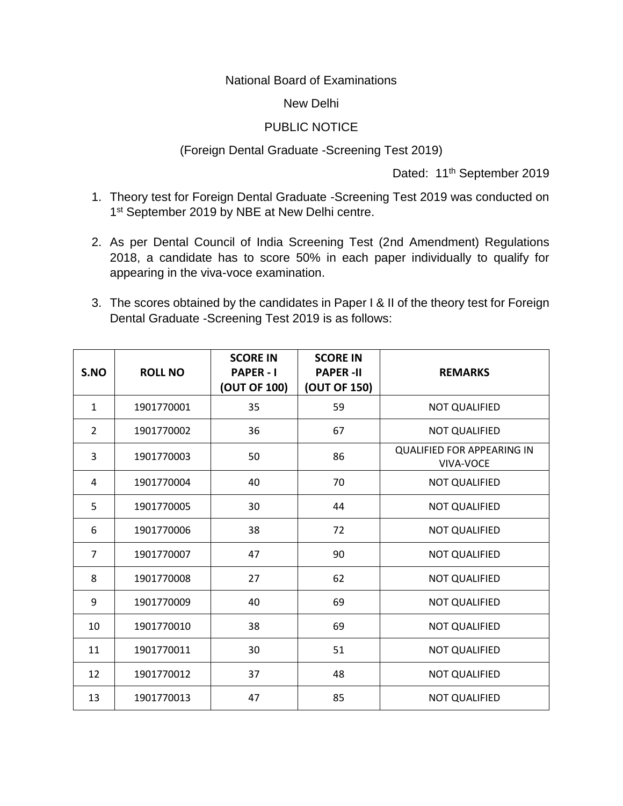National Board of Examinations

## New Delhi

## PUBLIC NOTICE

## (Foreign Dental Graduate -Screening Test 2019)

Dated: 11<sup>th</sup> September 2019

- 1. Theory test for Foreign Dental Graduate -Screening Test 2019 was conducted on 1<sup>st</sup> September 2019 by NBE at New Delhi centre.
- 2. As per Dental Council of India Screening Test (2nd Amendment) Regulations 2018, a candidate has to score 50% in each paper individually to qualify for appearing in the viva-voce examination.
- 3. The scores obtained by the candidates in Paper I & II of the theory test for Foreign Dental Graduate -Screening Test 2019 is as follows:

| S.NO           | <b>ROLL NO</b> | <b>SCORE IN</b><br><b>PAPER-I</b><br>(OUT OF 100) | <b>SCORE IN</b><br><b>PAPER-II</b><br>(OUT OF 150) | <b>REMARKS</b>                                 |
|----------------|----------------|---------------------------------------------------|----------------------------------------------------|------------------------------------------------|
| $\mathbf{1}$   | 1901770001     | 35                                                | 59                                                 | <b>NOT QUALIFIED</b>                           |
| $\overline{2}$ | 1901770002     | 36                                                | 67                                                 | <b>NOT QUALIFIED</b>                           |
| 3              | 1901770003     | 50                                                | 86                                                 | <b>QUALIFIED FOR APPEARING IN</b><br>VIVA-VOCE |
| 4              | 1901770004     | 40                                                | 70                                                 | <b>NOT QUALIFIED</b>                           |
| 5              | 1901770005     | 30                                                | 44                                                 | <b>NOT QUALIFIED</b>                           |
| 6              | 1901770006     | 38                                                | 72                                                 | <b>NOT QUALIFIED</b>                           |
| $\overline{7}$ | 1901770007     | 47                                                | 90                                                 | <b>NOT QUALIFIED</b>                           |
| 8              | 1901770008     | 27                                                | 62                                                 | <b>NOT QUALIFIED</b>                           |
| 9              | 1901770009     | 40                                                | 69                                                 | <b>NOT QUALIFIED</b>                           |
| 10             | 1901770010     | 38                                                | 69                                                 | <b>NOT QUALIFIED</b>                           |
| 11             | 1901770011     | 30                                                | 51                                                 | <b>NOT QUALIFIED</b>                           |
| 12             | 1901770012     | 37                                                | 48                                                 | <b>NOT QUALIFIED</b>                           |
| 13             | 1901770013     | 47                                                | 85                                                 | <b>NOT QUALIFIED</b>                           |